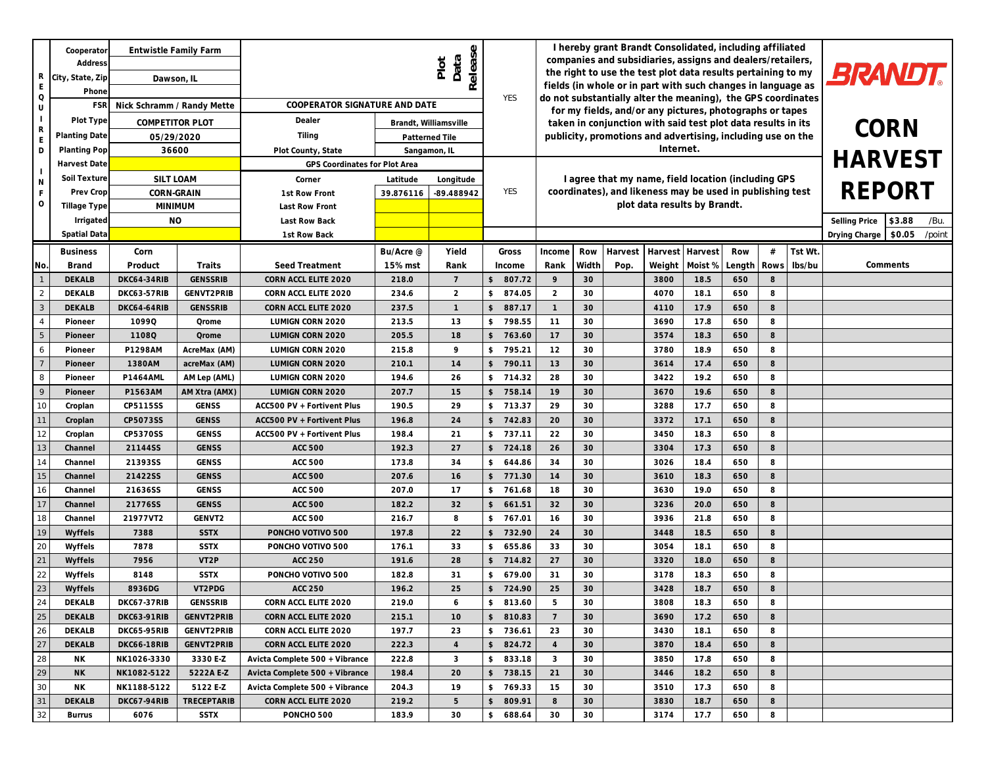| Internet. | onsolidated, including affiliated<br>ies, assigns and dealers/retailers,<br>plot data results pertaining to my<br>with such changes in language as<br>the meaning), the GPS coordinates<br>y pictures, photographs or tapes<br>h said test plot data results in its<br>d advertising, including use on the<br>e, field location (including GPS<br>ss may be used in publishing test<br>results by Brandt. |        |         | Selling Price<br>Drying Charge | <b>BRANDT.</b><br>CORN<br><b>HARVEST</b><br>REPORT<br>\$3.88<br>/Bu.<br>\$0.05<br>/point |          |
|-----------|-----------------------------------------------------------------------------------------------------------------------------------------------------------------------------------------------------------------------------------------------------------------------------------------------------------------------------------------------------------------------------------------------------------|--------|---------|--------------------------------|------------------------------------------------------------------------------------------|----------|
| rvest     | Harvest                                                                                                                                                                                                                                                                                                                                                                                                   | Row    | $^{\#}$ | Tst Wt.                        |                                                                                          |          |
| eight     | Moist %                                                                                                                                                                                                                                                                                                                                                                                                   | Length | Rows    | Ibs/bu                         |                                                                                          | Comments |
| 800       | 18.5                                                                                                                                                                                                                                                                                                                                                                                                      | 650    | 8       |                                |                                                                                          |          |
| 070       | 18.1                                                                                                                                                                                                                                                                                                                                                                                                      | 650    | 8       |                                |                                                                                          |          |
| 110       | 17.9                                                                                                                                                                                                                                                                                                                                                                                                      | 650    | 8       |                                |                                                                                          |          |
| 690       | 17.8                                                                                                                                                                                                                                                                                                                                                                                                      | 650    | 8       |                                |                                                                                          |          |
| 574       | 18.3                                                                                                                                                                                                                                                                                                                                                                                                      | 650    | 8       |                                |                                                                                          |          |
| 780       | 18.9                                                                                                                                                                                                                                                                                                                                                                                                      | 650    | 8       |                                |                                                                                          |          |
| 614       | 17.4                                                                                                                                                                                                                                                                                                                                                                                                      | 650    | 8       |                                |                                                                                          |          |
| 422       | 19.2                                                                                                                                                                                                                                                                                                                                                                                                      | 650    | 8       |                                |                                                                                          |          |
| 670       | 19.6                                                                                                                                                                                                                                                                                                                                                                                                      | 650    | 8       |                                |                                                                                          |          |
| 288       | 17.7                                                                                                                                                                                                                                                                                                                                                                                                      | 650    | 8       |                                |                                                                                          |          |
| 372       | 17.1                                                                                                                                                                                                                                                                                                                                                                                                      | 650    | 8       |                                |                                                                                          |          |
| 450       | 18.3                                                                                                                                                                                                                                                                                                                                                                                                      | 650    | 8       |                                |                                                                                          |          |
| 304       | 17.3                                                                                                                                                                                                                                                                                                                                                                                                      | 650    | 8       |                                |                                                                                          |          |
| 026       | 18.4                                                                                                                                                                                                                                                                                                                                                                                                      | 650    | 8       |                                |                                                                                          |          |
| 610       | 18.3                                                                                                                                                                                                                                                                                                                                                                                                      | 650    | 8       |                                |                                                                                          |          |
| 630       | 19.0                                                                                                                                                                                                                                                                                                                                                                                                      | 650    | 8       |                                |                                                                                          |          |
| 236       | 20.0                                                                                                                                                                                                                                                                                                                                                                                                      | 650    | 8       |                                |                                                                                          |          |
| 936       | 21.8                                                                                                                                                                                                                                                                                                                                                                                                      | 650    | 8       |                                |                                                                                          |          |
| 448       | 18.5                                                                                                                                                                                                                                                                                                                                                                                                      | 650    | 8       |                                |                                                                                          |          |
| 054       | 18.1                                                                                                                                                                                                                                                                                                                                                                                                      | 650    | 8       |                                |                                                                                          |          |
| 320       | 18.0                                                                                                                                                                                                                                                                                                                                                                                                      | 650    | 8       |                                |                                                                                          |          |
| 178       | 18.3                                                                                                                                                                                                                                                                                                                                                                                                      | 650    | 8       |                                |                                                                                          |          |
| 428       | 18.7                                                                                                                                                                                                                                                                                                                                                                                                      | 650    | 8       |                                |                                                                                          |          |
| 808       | 18.3                                                                                                                                                                                                                                                                                                                                                                                                      | 650    | 8       |                                |                                                                                          |          |
| 690       | 17.2                                                                                                                                                                                                                                                                                                                                                                                                      | 650    | 8       |                                |                                                                                          |          |
| 430       | 18.1                                                                                                                                                                                                                                                                                                                                                                                                      | 650    | 8       |                                |                                                                                          |          |
| 870       | 18.4                                                                                                                                                                                                                                                                                                                                                                                                      | 650    | 8       |                                |                                                                                          |          |
| 850       | 17.8                                                                                                                                                                                                                                                                                                                                                                                                      | 650    | 8       |                                |                                                                                          |          |
| 446       | 18.2                                                                                                                                                                                                                                                                                                                                                                                                      | 650    | 8       |                                |                                                                                          |          |
| 510       | 17.3                                                                                                                                                                                                                                                                                                                                                                                                      | 650    | 8       |                                |                                                                                          |          |
| 830       | 18.7                                                                                                                                                                                                                                                                                                                                                                                                      | 650    | 8       |                                |                                                                                          |          |
| 174       | 17.7                                                                                                                                                                                                                                                                                                                                                                                                      | 650    | 8       |                                |                                                                                          |          |

| R<br>E<br>$\Omega$                     | Cooperator<br>Address<br>City, State, Zip<br>Phone                                            | Entwistle Family Farm<br>Dawson, IL                                    |                   |                                                                                                                                   |                                                  | Release<br><b>Data</b><br>Plot          | YES                      | do not substantially alter the meaning), the GPS coordinates                                                                                                  | I hereby grant Brandt Consolidated, including affiliated<br>companies and subsidiaries, assigns and dealers/retailers,<br>the right to use the test plot data results pertaining to my<br>fields (in whole or in part with such changes in language as | BRANDT                                                                                                                                                                                  |         |         |                    |         |                                                                                                      |          |
|----------------------------------------|-----------------------------------------------------------------------------------------------|------------------------------------------------------------------------|-------------------|-----------------------------------------------------------------------------------------------------------------------------------|--------------------------------------------------|-----------------------------------------|--------------------------|---------------------------------------------------------------------------------------------------------------------------------------------------------------|--------------------------------------------------------------------------------------------------------------------------------------------------------------------------------------------------------------------------------------------------------|-----------------------------------------------------------------------------------------------------------------------------------------------------------------------------------------|---------|---------|--------------------|---------|------------------------------------------------------------------------------------------------------|----------|
| U<br>R<br>$\overline{D}$               | <b>FSR</b><br>Plot Type<br><b>Planting Date</b><br><b>Planting Pop</b>                        | Nick Schramm / Randy Mette<br>COMPETITOR PLOT<br>05/29/2020            |                   | COOPERATOR SIGNATURE AND DATE<br>Dealer<br>Tiling                                                                                 | Sangamon, IL                                     | Brandt, Williamsville<br>Patterned Tile |                          |                                                                                                                                                               |                                                                                                                                                                                                                                                        | for my fields, and/or any pictures, photographs or tapes<br>taken in conjunction with said test plot data results in its<br>publicity, promotions and advertising, including use on the | CORN    |         |                    |         |                                                                                                      |          |
| $\frac{1}{N}$<br>$\vdash$ F<br>$\circ$ | Harvest Date<br>Soil Texture<br><b>Prev Crop</b><br>Tillage Type<br>Irrigated<br>Spatial Data | 36600<br><b>SILT LOAM</b><br>CORN-GRAIN<br><b>MINIMUM</b><br><b>NO</b> |                   | Plot County, State<br>GPS Coordinates for Plot Area<br>Corner<br>1st Row Front<br>Last Row Front<br>Last Row Back<br>1st Row Back | Longitude<br>Latitude<br>-89.488942<br>39.876116 |                                         | YES                      | Internet.<br>I agree that my name, field location (including GPS<br>coordinates), and likeness may be used in publishing test<br>plot data results by Brandt. |                                                                                                                                                                                                                                                        |                                                                                                                                                                                         |         |         |                    |         | <b>HARVEST</b><br><b>REPORT</b><br>\$3.88<br>Selling Price<br>/Bu.<br>Drying Charge \$0.05<br>/point |          |
|                                        | <b>Business</b>                                                                               | Corn                                                                   |                   |                                                                                                                                   | Bu/Acre@                                         | Yield                                   | Gross                    | Income                                                                                                                                                        | Row                                                                                                                                                                                                                                                    | Harvest                                                                                                                                                                                 | Harvest | Harvest | Row                | #       | Tst Wt.                                                                                              |          |
| No.                                    | <b>Brand</b>                                                                                  | Product                                                                | Traits            | Seed Treatment                                                                                                                    | 15% mst                                          | Rank                                    | Income                   | Rank                                                                                                                                                          | Width                                                                                                                                                                                                                                                  | Pop.                                                                                                                                                                                    | Weight  | Moist % | Length Rows lbs/bu |         |                                                                                                      | Comments |
| $\overline{1}$                         | <b>DEKALB</b>                                                                                 | DKC64-34RIB                                                            | GENSSRIB          | CORN ACCL ELITE 2020                                                                                                              | 218.0                                            | $\overline{7}$                          | 807.72<br>$\mathcal{L}$  | 9                                                                                                                                                             | 30                                                                                                                                                                                                                                                     |                                                                                                                                                                                         | 3800    | 18.5    | 650                | 8       |                                                                                                      |          |
| 2                                      | <b>DEKALB</b>                                                                                 | DKC63-57RIB                                                            | GENVT2PRIB        | CORN ACCL ELITE 2020                                                                                                              | 234.6                                            | $\overline{2}$                          | $\frac{1}{2}$<br>874.05  | 2                                                                                                                                                             | 30                                                                                                                                                                                                                                                     |                                                                                                                                                                                         | 4070    | 18.1    | 650                | 8       |                                                                                                      |          |
| $\overline{3}$                         | <b>DEKALB</b>                                                                                 | DKC64-64RIB                                                            | GENSSRIB          | CORN ACCL ELITE 2020                                                                                                              | 237.5                                            |                                         | $\mathcal{L}$<br>887.17  |                                                                                                                                                               | 30                                                                                                                                                                                                                                                     |                                                                                                                                                                                         | 4110    | 17.9    | 650                | $\,8\,$ |                                                                                                      |          |
| $\overline{4}$                         | Pioneer                                                                                       | 10990                                                                  | Orome             | LUMIGN CORN 2020                                                                                                                  | 213.5                                            | 13                                      | $\mathbb{S}$<br>798.55   | 11                                                                                                                                                            | 30                                                                                                                                                                                                                                                     |                                                                                                                                                                                         | 3690    | 17.8    | 650                | 8       |                                                                                                      |          |
| $5\overline{)}$                        | Pioneer                                                                                       | <b>11080</b>                                                           | Orome             | LUMIGN CORN 2020                                                                                                                  | 205.5                                            | 18                                      | $\mathcal{L}$<br>763.60  | 17                                                                                                                                                            | 30                                                                                                                                                                                                                                                     |                                                                                                                                                                                         | 3574    | 18.3    | 650                | $\,8\,$ |                                                                                                      |          |
| 6                                      | Pioneer                                                                                       | P1298AM                                                                | AcreMax (AM)      | LUMIGN CORN 2020                                                                                                                  | 215.8                                            | 9                                       | $\frac{1}{2}$<br>795.21  | 12                                                                                                                                                            | 30                                                                                                                                                                                                                                                     |                                                                                                                                                                                         | 3780    | 18.9    | 650                | 8       |                                                                                                      |          |
| $\overline{7}$                         | Pioneer                                                                                       | 1380AM                                                                 | acreMax (AM)      | LUMIGN CORN 2020                                                                                                                  | 210.1                                            | 14                                      | $\mathcal{L}$<br>790.11  | 13                                                                                                                                                            | 30                                                                                                                                                                                                                                                     |                                                                                                                                                                                         | 3614    | 17.4    | 650                | 8       |                                                                                                      |          |
| 8                                      | Pioneer                                                                                       | P1464AML                                                               | AM Lep (AML)      | LUMIGN CORN 2020                                                                                                                  | 194.6                                            | 26                                      | $\frac{1}{2}$<br>714.32  | 28                                                                                                                                                            | 30                                                                                                                                                                                                                                                     |                                                                                                                                                                                         | 3422    | 19.2    | 650                | 8       |                                                                                                      |          |
| $\overline{9}$                         | Pioneer                                                                                       | P1563AM                                                                | AM Xtra (AMX)     | LUMIGN CORN 2020                                                                                                                  | 207.7                                            | 15                                      | $\frac{1}{2}$<br>758.14  | 19                                                                                                                                                            | 30                                                                                                                                                                                                                                                     |                                                                                                                                                                                         | 3670    | 19.6    | 650                | 8       |                                                                                                      |          |
| 10                                     | Croplan                                                                                       | CP5115SS                                                               | <b>GENSS</b>      | ACC500 PV + Fortivent Plus                                                                                                        | 190.5                                            | 29                                      | $\mathfrak{L}$<br>713.37 | 29                                                                                                                                                            | 30                                                                                                                                                                                                                                                     |                                                                                                                                                                                         | 3288    | 17.7    | 650                | 8       |                                                                                                      |          |
| 11                                     | Croplan                                                                                       | CP5073SS                                                               | <b>GENSS</b>      | ACC500 PV + Fortivent Plus                                                                                                        | 196.8                                            | 24                                      | $\frac{1}{2}$<br>742.83  | 20                                                                                                                                                            | 30                                                                                                                                                                                                                                                     |                                                                                                                                                                                         | 3372    | 17.1    | 650                | 8       |                                                                                                      |          |
| 12                                     | Croplan                                                                                       | CP5370SS                                                               | <b>GENSS</b>      | ACC500 PV + Fortivent Plus                                                                                                        | 198.4                                            | 21                                      | \$737.11                 | 22                                                                                                                                                            | 30                                                                                                                                                                                                                                                     |                                                                                                                                                                                         | 3450    | 18.3    | 650                | 8       |                                                                                                      |          |
| 13                                     | Channel                                                                                       | 21144SS                                                                | <b>GENSS</b>      | <b>ACC 500</b>                                                                                                                    | 192.3                                            | 27                                      | 724.18<br>$\mathcal{L}$  | 26                                                                                                                                                            | 30                                                                                                                                                                                                                                                     |                                                                                                                                                                                         | 3304    | 17.3    | 650                | 8       |                                                                                                      |          |
| $\overline{14}$                        | Channel                                                                                       | 21393SS                                                                | <b>GENSS</b>      | <b>ACC 500</b>                                                                                                                    | 173.8                                            | 34                                      | $\mathcal{L}$<br>644.86  | 34                                                                                                                                                            | 30                                                                                                                                                                                                                                                     |                                                                                                                                                                                         | 3026    | 18.4    | 650                | 8       |                                                                                                      |          |
| 15                                     | Channel                                                                                       | 21422SS                                                                | <b>GENSS</b>      | <b>ACC 500</b>                                                                                                                    | 207.6                                            | 16                                      | $\frac{1}{2}$<br>771.30  | 14                                                                                                                                                            | 30                                                                                                                                                                                                                                                     |                                                                                                                                                                                         | 3610    | 18.3    | 650                | 8       |                                                                                                      |          |
| 16                                     | Channel                                                                                       | 21636SS                                                                | <b>GENSS</b>      | <b>ACC 500</b>                                                                                                                    | 207.0                                            | 17                                      | $\mathcal{L}$<br>761.68  | 18                                                                                                                                                            | 30                                                                                                                                                                                                                                                     |                                                                                                                                                                                         | 3630    | 19.0    | 650                | 8       |                                                                                                      |          |
| 17                                     | Channel                                                                                       | 21776SS                                                                | <b>GENSS</b>      | <b>ACC 500</b>                                                                                                                    | 182.2                                            | 32                                      | $\frac{1}{2}$<br>661.51  | 32                                                                                                                                                            | 30                                                                                                                                                                                                                                                     |                                                                                                                                                                                         | 3236    | 20.0    | 650                | 8       |                                                                                                      |          |
| 18                                     | Channel                                                                                       | 21977VT2                                                               | GENVT2            | <b>ACC 500</b>                                                                                                                    | 216.7                                            | 8                                       | $\frac{1}{2}$<br>767.01  | 16                                                                                                                                                            | 30                                                                                                                                                                                                                                                     |                                                                                                                                                                                         | 3936    | 21.8    | 650                | 8       |                                                                                                      |          |
| 19                                     | Wyffels                                                                                       | 7388                                                                   | <b>SSTX</b>       | PONCHO VOTIVO 500                                                                                                                 | 197.8                                            | 22                                      | $\frac{1}{2}$<br>732.90  | 24                                                                                                                                                            | 30                                                                                                                                                                                                                                                     |                                                                                                                                                                                         | 3448    | 18.5    | 650                | 8       |                                                                                                      |          |
| 20                                     | Wyffels                                                                                       | 7878                                                                   | <b>SSTX</b>       | PONCHO VOTIVO 500                                                                                                                 | 176.1                                            | 33                                      | $\mathcal{L}$<br>655.86  | 33                                                                                                                                                            | 30                                                                                                                                                                                                                                                     |                                                                                                                                                                                         | 3054    | 18.1    | 650                | 8       |                                                                                                      |          |
| $\boxed{21}$                           | Wyffels                                                                                       | 7956                                                                   | VT <sub>2</sub> P | <b>ACC 250</b>                                                                                                                    | 191.6                                            | 28                                      | $\frac{1}{2}$<br>714.82  | 27                                                                                                                                                            | 30                                                                                                                                                                                                                                                     |                                                                                                                                                                                         | 3320    | 18.0    | 650                | 8       |                                                                                                      |          |
| 22                                     | Wyffels                                                                                       | 8148                                                                   | <b>SSTX</b>       | PONCHO VOTIVO 500                                                                                                                 | 182.8                                            | 31                                      | $\mathcal{L}$<br>679.00  | 31                                                                                                                                                            | 30                                                                                                                                                                                                                                                     |                                                                                                                                                                                         | 3178    | 18.3    | 650                | 8       |                                                                                                      |          |
| 23                                     | Wyffels                                                                                       | 8936DG                                                                 | VT2PDG            | <b>ACC 250</b>                                                                                                                    | 196.2                                            | 25                                      | $\frac{1}{2}$<br>724.90  | 25                                                                                                                                                            | 30                                                                                                                                                                                                                                                     |                                                                                                                                                                                         | 3428    | 18.7    | 650                | 8       |                                                                                                      |          |
| 24                                     | <b>DEKALB</b>                                                                                 | DKC67-37RIB                                                            | GENSSRIB          | CORN ACCL ELITE 2020                                                                                                              | 219.0                                            | 6                                       | $\frac{1}{2}$<br>813.60  | 5                                                                                                                                                             | 30                                                                                                                                                                                                                                                     |                                                                                                                                                                                         | 3808    | 18.3    | 650                | 8       |                                                                                                      |          |
|                                        | <b>DEKALB</b>                                                                                 | DKC63-91RIB                                                            | GENVT2PRIB        | CORN ACCL ELITE 2020                                                                                                              | 215.1                                            | 10 <sup>°</sup>                         | $\frac{1}{2}$<br>810.83  |                                                                                                                                                               | 30                                                                                                                                                                                                                                                     |                                                                                                                                                                                         | 3690    | 17.2    | 650                | 8       |                                                                                                      |          |
| $\frac{25}{26}$                        | <b>DEKALB</b>                                                                                 | DKC65-95RIB                                                            | GENVT2PRIB        | CORN ACCL ELITE 2020                                                                                                              | 197.7                                            | 23                                      | $\frac{1}{2}$<br>736.61  | 23                                                                                                                                                            | 30                                                                                                                                                                                                                                                     |                                                                                                                                                                                         | 3430    | 18.1    | 650                | 8       |                                                                                                      |          |
| 27                                     | <b>DEKALB</b>                                                                                 | DKC66-18RIB                                                            | GENVT2PRIB        | CORN ACCL ELITE 2020                                                                                                              | 222.3                                            | $\overline{4}$                          | $\frac{1}{2}$<br>824.72  | $\Lambda$                                                                                                                                                     | 30                                                                                                                                                                                                                                                     |                                                                                                                                                                                         | 3870    | 18.4    | 650                | 8       |                                                                                                      |          |
| 28                                     | <b>NK</b>                                                                                     | NK1026-3330                                                            | 3330 E-Z          | Avicta Complete 500 + Vibrance                                                                                                    | 222.8                                            | 3                                       | $\frac{1}{2}$<br>833.18  | 3                                                                                                                                                             | 30                                                                                                                                                                                                                                                     |                                                                                                                                                                                         | 3850    | 17.8    | 650                | 8       |                                                                                                      |          |
| 29                                     | <b>NK</b>                                                                                     | NK1082-5122                                                            | 5222A E-Z         | Avicta Complete 500 + Vibrance                                                                                                    | 198.4                                            | 20                                      | $\mathcal{L}$<br>738.15  | 21                                                                                                                                                            | 30                                                                                                                                                                                                                                                     |                                                                                                                                                                                         | 3446    | 18.2    | 650                | 8       |                                                                                                      |          |
| 30                                     | <b>NK</b>                                                                                     | NK1188-5122                                                            | 5122 E-Z          | Avicta Complete 500 + Vibrance                                                                                                    | 204.3                                            | 19                                      | $\sqrt{2}$<br>769.33     | 15                                                                                                                                                            | 30                                                                                                                                                                                                                                                     |                                                                                                                                                                                         | 3510    | 17.3    | 650                | 8       |                                                                                                      |          |
| 31                                     | <b>DEKALB</b>                                                                                 | DKC67-94RIB                                                            | TRECEPTARIB       | CORN ACCL ELITE 2020                                                                                                              | 219.2                                            | 5                                       | $\frac{1}{2}$<br>809.91  | 8                                                                                                                                                             | 30                                                                                                                                                                                                                                                     |                                                                                                                                                                                         | 3830    | 18.7    | 650                | 8       |                                                                                                      |          |
| 32                                     | <b>Burrus</b>                                                                                 | 6076                                                                   | <b>SSTX</b>       | PONCHO 500                                                                                                                        | 183.9                                            | 30                                      | 688.64<br>$\frac{1}{2}$  | 30                                                                                                                                                            | 30                                                                                                                                                                                                                                                     |                                                                                                                                                                                         | 3174    | 17.7    | 650                | 8       |                                                                                                      |          |
|                                        |                                                                                               |                                                                        |                   |                                                                                                                                   |                                                  |                                         |                          |                                                                                                                                                               |                                                                                                                                                                                                                                                        |                                                                                                                                                                                         |         |         |                    |         |                                                                                                      |          |